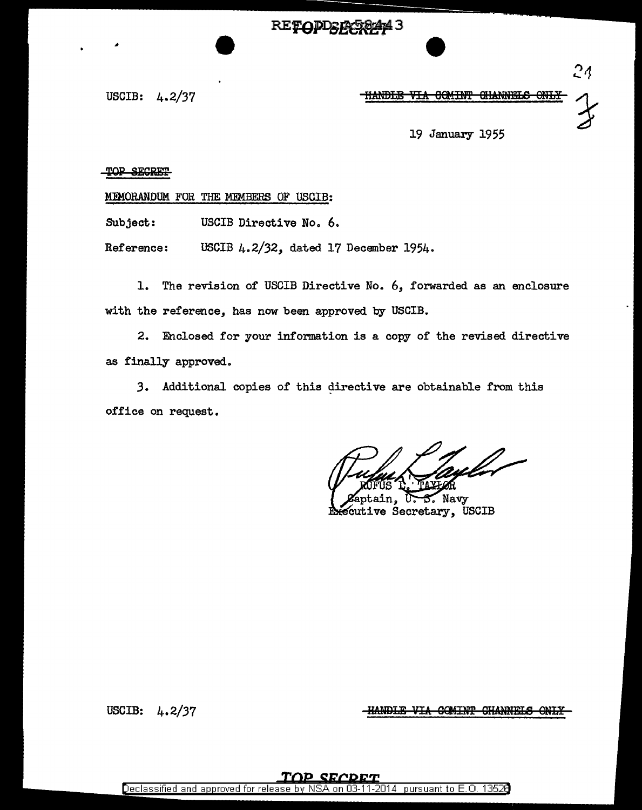**RETODDER** 74 B

### USCIB:  $4.2/37$  **HANDLE VIA COMINT GIANNELS ONLY**

 $24$ 

19 January 1955

### TOP SECRET

MEMORANDUM FOR THE MEMBERS OF USCIB:

Subject: USCIB Directive No. 6.

Reference: USCIB 4.2/32, dated 17 December 1954.

1. The revision of USCIB Directive No. 6, forwarded as an enclosure with the reference, has now been approved by USCIB.

2. Enclosed for your information is a copy of the revised directive as finally approved.

3. Additional copies of this directive are obtainable from this office on request.

tain, 3. Navy ecutive Secretary, USCIB

USCIB: 4. 2/37

**HANDLE VIA COMINT CHANNELS ONLY**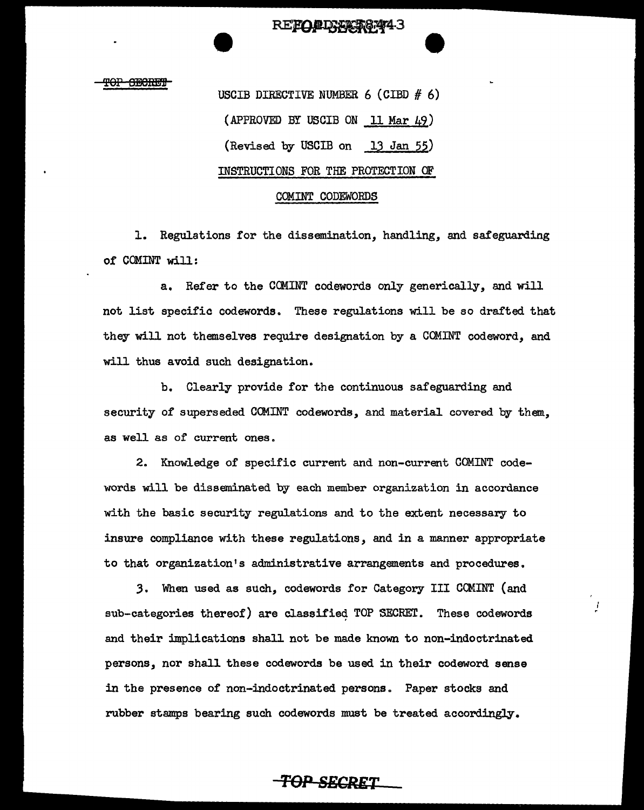T<del>OP SECRET</del>

USCIB DIRECTIVE NUMBER  $6$  (CIBD  $# 6$ ) (APPROVED BY USCIB ON 11 Mar 49) (Revised by USCIB on 13 Jan 55) INSTRUCTIONS FOR THE PROTECTION OF

REFOLD FAST 874-3

#### COMINT CODEWORDS

1. Regulations for the dissemination, handling, and safeguarding of COMINT will:

a. Refer to the COMINT codewords only generically, and will not list specific codewords. These regulations will be so drafted that they will not themselves require designation by a COMINT codeword, and will thus avoid such designation.

b. Clearly provide for the continuous safeguarding and security of superseded COMINT codewords, and material covered by them, as well as of current ones.

2. Knowledge of specific current and non-current COMINT codewords will be disseminated by each member organization in accordance with the basic security regulations and to the extent necessary to insure compliance with these regulations, and in a manner appropriate to that organization's administrative arrangements and procedures.

,3. When used as such, codewords for Category III COMINT (and sub-categories thereof) are classified TOP SECRET. These codewords and their implications shall not be made known to non-indoctrinated persons, nor shall these codewords be used in their codeword sense in the presence of non-indoctrinated persons. Paper stocks and rubber stamps bearing such codewords must be treated accordingly.

Ţ

*TOP SECRET*